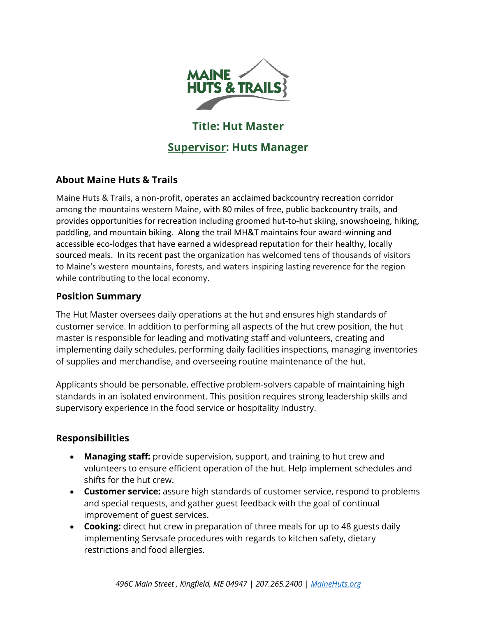

# **Title: Hut Master**

# **Supervisor: Huts Manager**

# **About Maine Huts & Trails**

Maine Huts & Trails, a non-profit, operates an acclaimed backcountry recreation corridor among the mountains western Maine, with 80 miles of free, public backcountry trails, and provides opportunities for recreation including groomed hut-to-hut skiing, snowshoeing, hiking, paddling, and mountain biking. Along the trail MH&T maintains four award-winning and accessible eco-lodges that have earned a widespread reputation for their healthy, locally sourced meals. In its recent past the organization has welcomed tens of thousands of visitors to Maine's western mountains, forests, and waters inspiring lasting reverence for the region while contributing to the local economy.

## **Position Summary**

The Hut Master oversees daily operations at the hut and ensures high standards of customer service. In addition to performing all aspects of the hut crew position, the hut master is responsible for leading and motivating staff and volunteers, creating and implementing daily schedules, performing daily facilities inspections, managing inventories of supplies and merchandise, and overseeing routine maintenance of the hut.

Applicants should be personable, effective problem-solvers capable of maintaining high standards in an isolated environment. This position requires strong leadership skills and supervisory experience in the food service or hospitality industry.

# **Responsibilities**

- **Managing staff:** provide supervision, support, and training to hut crew and volunteers to ensure efficient operation of the hut. Help implement schedules and shifts for the hut crew.
- **Customer service:** assure high standards of customer service, respond to problems and special requests, and gather guest feedback with the goal of continual improvement of guest services.
- **Cooking:** direct hut crew in preparation of three meals for up to 48 guests daily implementing Servsafe procedures with regards to kitchen safety, dietary restrictions and food allergies.